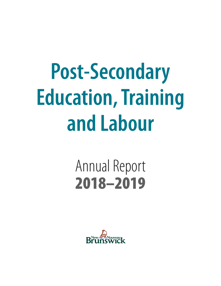# **Post-Secondary Education, Training and Labour**

# Annual Report 2018–2019

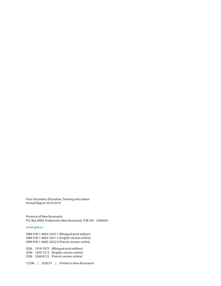Post-Secondary Education, Training and Labour Annual Report 2018-2019

Province of New Brunswick P.O. Box 6000, Fredericton New Brunswick E3B 5H1 CANADA

#### www.gnb.ca

ISBN 978-1-4605-2423-7 (Bilingual print edition) ISBN 978-1-4605-2421-3 (English version online) ISBN 978-1-4605-2422-0 (French version online)

ISSN: 1919-7675 (Bilingual print edition) ISSN: 1920-7212 (English version online) ISSN: 2368-8122 (French version online)

12596 | 2020.01 | Printed in New Brunswick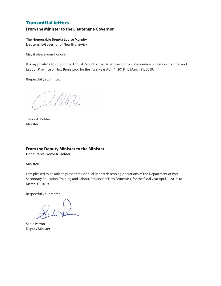### Transmittal letters

#### **From the Minister to the Lieutenant-Governor**

**The Honourable Brenda Louise Murphy Lieutenant-Governor of New Brunswick**

May it please your Honour:

It is my privilege to submit the Annual Report of the Department of Post-Secondary Education, Training and Labour, Province of New Brunswick, for the fiscal year April 1, 2018, to March 31, 2019.

Respectfully submitted,

Which

Trevor A. Holder Minister

#### **From the Deputy Minister to the Minister Honourable Trevor A. Holder**

Minister:

I am pleased to be able to present the Annual Report describing operations of the Department of Post Secondary Education, Training and Labour, Province of New Brunswick, for the fiscal year April 1, 2018, to March 31, 2019.

Respectfully submitted,

Sadie Perron Deputy Minister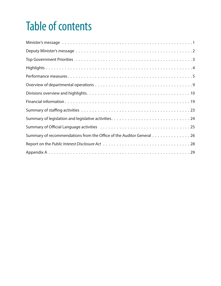# Table of contents

| Summary of recommendations from the Office of the Auditor General 26 |
|----------------------------------------------------------------------|
|                                                                      |
|                                                                      |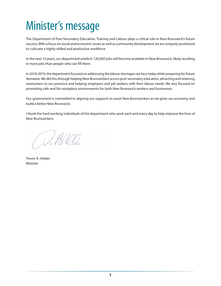# Minister's message

The Department of Post-Secondary Education, Training and Labour plays a critical role in New Brunswick's future success. With a focus on social and economic issues as well as community development we are uniquely positioned to cultivate a highly skilled and productive workforce.

In the next 10 years, our department predicts 120,000 jobs will become available in New Brunswick, likely resulting in more jobs than people who can fill them.

In 2018-2019, the department focused on addressing the labour shortages we face today while preparing for future demands. We did this through helping New Brunswickers access post-secondary education, attracting and retaining newcomers to our province and helping employers and job seekers with their labour needs. We also focused on promoting safe and fair workplace environments for both New Brunswick workers and businesses.

Our government is committed to aligning our supports to assist New Brunswickers as we grow our economy and build a better New Brunswick.

I thank the hard working individuals of the department who work each and every day to help improve the lives of New Brunswickers.

White

Trevor A. Holder Minister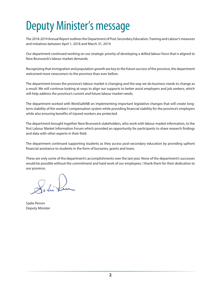# Deputy Minister's message

The 2018-2019 Annual Report outlines the Department of Post-Secondary Education, Training and Labour's measures and initiatives between April 1, 2018 and March 31, 2019.

Our department continued working on our strategic priority of developing a skilled labour force that is aligned to New Brunswick's labour market demands.

Recognizing that immigration and population growth are key to the future success of the province, the department welcomed more newcomers to the province than ever before.

The department knows the province's labour market is changing and the way we do business needs to change as a result. We will continue looking at ways to align our supports to better assist employers and job seekers, which will help address the province's current and future labour market needs.

The department worked with WorkSafeNB on implementing important legislative changes that will create longterm stability of the workers' compensation system while providing financial stability for the province's employers while also ensuring benefits of injured workers are protected.

The department brought together New Brunswick stakeholders, who work with labour market information, to the first Labour Market Information Forum which provided an opportunity for participants to share research findings and data with other experts in their field.

The department continued supporting students as they access post-secondary education by providing upfront financial assistance to students in the form of bursaries, grants and loans.

These are only some of the department's accomplishments over the last year. None of the department's successes would be possible without the commitment and hard work of our employees. I thank them for their dedication to our province.

Sadie Perron Deputy Minister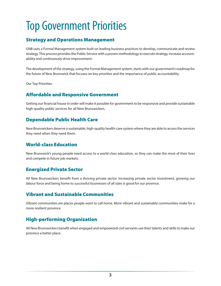# Top Government Priorities

### Strategy and Operations Management

GNB uses a Formal Management system built on leading business practices to develop, communicate and review strategy. This process provides the Public Service with a proven methodology to execute strategy, increase accountability and continuously drive improvement.

The development of the strategy, using the Formal Management system, starts with our government's roadmap for the future of New Brunswick that focuses on key priorities and the importance of public accountability.

Our Top Priorities:

### Affordable and Responsive Government

Getting our financial house in order will make it possible for government to be responsive and provide sustainable high-quality public services for all New Brunswickers.

### Dependable Public Health Care

New Brunswickers deserve a sustainable, high-quality health-care system where they are able to access the services they need when they need them.

### World-class Education

New Brunswick's young people need access to a world-class education, so they can make the most of their lives and compete in future job markets.

# Energized Private Sector

All New Brunswickers benefit from a thriving private sector. Increasing private sector investment, growing our labour force and being home to successful businesses of all sizes is good for our province.

### Vibrant and Sustainable Communities

Vibrant communities are places people want to call home. More vibrant and sustainable communities make for a more resilient province.

# High-performing Organization

All New Brunswickers benefit when engaged and empowered civil servants use their talents and skills to make our province a better place.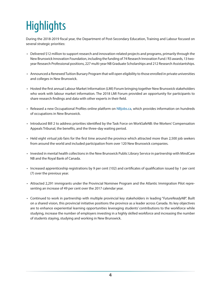# **Highlights**

During the 2018-2019 fiscal year, the Department of Post-Secondary Education, Training and Labour focused on several strategic priorities:

- Delivered \$12 million to support research and innovation-related projects and programs, primarily through the New Brunswick Innovation Foundation, including the funding of 74 Research Innovation Fund / R3 awards, 13 twoyear Research Professional positions, 227 multi-year NB Graduate Scholarships and 212 Research Assistantships.
- Announced a Renewed Tuition Bursary Program that will open eligibility to those enrolled in private universities and colleges in New Brunswick.
- Hosted the first annual Labour Market Information (LMI) Forum bringing together New Brunswick stakeholders who work with labour market information. The 2018 LMI Forum provided an opportunity for participants to share research findings and data with other experts in their field.
- Released a new Occupational Profiles online platform on NBjobs.ca, which provides information on hundreds of occupations in New Brunswick.
- Introduced Bill 2 to address priorities identified by the Task Force on WorkSafeNB: the Workers' Compensation Appeals Tribunal, the benefits, and the three-day waiting period.
- Held eight virtual job fairs for the first time around the province which attracted more than 2,500 job seekers from around the world and included participation from over 120 New Brunswick companies.
- Invested in mental health collections in the New Brunswick Public Library Service in partnership with MindCare NB and the Royal Bank of Canada.
- Increased apprenticeship registrations by 9 per cent (102) and certificates of qualification issued by 1 per cent (7) over the previous year.
- Attracted 2,291 immigrants under the Provincial Nominee Program and the Atlantic Immigration Pilot representing an increase of 49 per cent over the 2017 calendar year.
- Continued to work in partnership with multiple provincial key stakeholders in leading "*FutureReadyNB*". Built on a shared vision, this provincial initiative positions the province as a leader across Canada. Its key objectives are to enhance experiential learning opportunities leveraging students' contributions to the workforce while studying, increase the number of employers investing in a highly skilled workforce and increasing the number of students staying, studying and working in New Brunswick.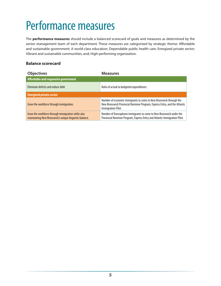# Performance measures

The **performance measures** should include a balanced scorecard of goals and measures as determined by the senior management team of each department. These measures are categorized by strategic theme: Affordable and sustainable government; A world-class education; Dependable public health care; Energized private sector; Vibrant and sustainable communities, and; High-performing organization.

#### **Balance scorecard**

| <b>Objectives</b>                                                                                           | <b>Measures</b>                                                                                                                                                       |
|-------------------------------------------------------------------------------------------------------------|-----------------------------------------------------------------------------------------------------------------------------------------------------------------------|
| Affordable and responsive government                                                                        |                                                                                                                                                                       |
| Eliminate deficits and reduce debt                                                                          | Ratio of actual to budgeted expenditures.                                                                                                                             |
| <b>Energized private sector</b>                                                                             |                                                                                                                                                                       |
| Grow the workforce through immigration.                                                                     | Number of economic immigrants to come to New Brunswick through the<br>New Brunswick Provincial Nominee Program, Express Entry, and the Atlantic<br>Immigration Pilot. |
| Grow the workforce through immigration while also<br>maintaining New Brunswick's unique linguistic balance. | Number of francophone immigrants to come to New Brunswick under the<br>Provincial Nominee Program, Express Entry and Atlantic Immigration Pilot.                      |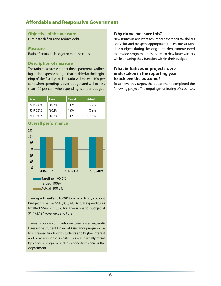### Affordable and Responsive Government

#### **Objective of the measure**

Eliminate deficits and reduce debt.

#### **Measure**

Ratio of actual to budgeted expenditures.

#### **Description of measure**

The ratio measures whether the department is adhering to the expense budget that it tabled at the beginning of the fiscal year. The ratio will exceed 100 per cent when spending is over-budget and will be less than 100 per cent when spending is under-budget.

| Year      | <b>Base</b> | <b>Target</b> | <b>Actual</b> |
|-----------|-------------|---------------|---------------|
| 2018-2019 | 100.6%      | 100%          | 100.2%        |
| 2017-2018 | 100.1%      | 100%          | 100.6%        |
| 2016-2017 | 100.2%      | 100%          | 100.1%        |



The department's 2018-2019 gross ordinary account budget figure was \$648,038,393. Actual expenditures totalled \$649,511,587, for a variance to budget of \$1,473,194 (over-expenditure).

The variance was primarily due to increased expenditures in the Student Financial Assistance program due to increased funding to students and higher interest and provision for loss costs. This was partially offset by various program under-expenditures across the department.

#### **Why do we measure this?**

New Brunswickers want assurances that their tax dollars add value and are spent appropriately. To ensure sustainable budgets during the long-term, departments need to provide programs and services to New Brunswickers while ensuring they function within their budget.

#### **What initiatives or projects were undertaken in the reporting year to achieve the outcome?**

To achieve this target, the department completed the following project: The ongoing monitoring of expenses.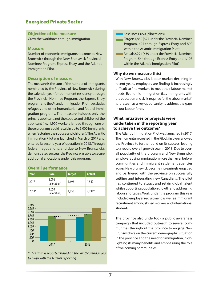### Energized Private Sector

#### **Objective of the measure**

Grow the workforce through immigration.

#### **Measure**

Number of economic immigrants to come to New Brunswick through the New Brunswick Provincial Nominee Program, Express Entry, and the Atlantic Immigration Pilot.

#### **Description of measure**

The measure is the sum of the number of immigrants nominated by the Province of New Brunswick during the calendar year for permanent residency through the Provincial Nominee Program, the Express Entry program and the Atlantic Immigration Pilot. It excludes refugees and other humanitarian and federal immigration programs. The measure includes only the primary applicant, not the spouse and children of the applicant (i.e., 1,900 workers landed through one of these programs could result in up to 5,000 immigrants when factoring the spouse and children). The Atlantic Immigration Pilot was launched in March of 2017 and entered its second year of operation in 2018. Through federal negotiations, and due to New Brunswick's demonstrated success, the Province was able to secure additional allocations under this program.

#### **Overall performance**

| Year    | <b>Base</b>           | <b>Target</b> | <b>Actual</b> |
|---------|-----------------------|---------------|---------------|
| 2017    | 1,050<br>(allocation) | 1.696         | 1,542         |
| $2018*$ | 1,650<br>(allocation) | 1,850         | $2,291*$      |



*\* This data is reported based on the 2018 calendar year to align with the federal reporting.*

**Baseline: 1 650 (allocations)** 

- Target: 1,850 (625 under the Provincial Nominee Program, 425 through Express Entry and 800 within the Atlantic Immigration Pilot)
- Actual: 2,291 (639 under the Provincial Nominee Program, 544 through Express Entry and 1,108 within the Atlantic Immigration Pilot)

#### **Why do we measure this?**

With New Brunswick's labour market declining in recent years, employers are finding it increasingly difficult to find workers to meet their labour market needs. Economic immigration (i.e., Immigrants with the education and skills required for the labour market) is foreseen as a key opportunity to address the gaps in our labour force.

#### **What initiatives or projects were undertaken in the reporting year to achieve the outcome?**

The Atlantic Immigration Pilot was launched in 2017. The momentum created in the Pilot's first year allowed the Province to further build on its success, leading to a record overall growth year in 2018. Due to overall popularity of the program and New Brunswick employers using immigration more than ever before, communities and immigrant settlement agencies across New Brunswick became increasingly engaged and partnered with the province on successfully settling and integrating new Canadians. The pilot has continued to attract and retain global talent while supporting population growth and addressing labour shortages. Work under the program this year included employer recruitment as well as immigrant recruitment among skilled workers and international students.

The province also undertook a public awareness campaign that included outreach to several communities throughout the province to engage New Brunswickers on the current demographic situation in the province and the need for immigration, highlighting its many benefits and emphasizing the role of welcoming communities.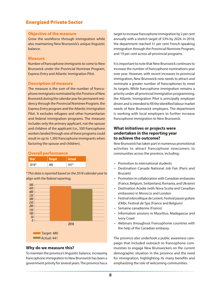### Energized Private Sector

#### **Objective of the measure**

Grow the workforce through immigration while also maintaining New Brunswick's unique linguistic balance.

#### **Measure**

Number of francophone immigrants to come to New Brunswick under the Provincial Nominee Program, Express Entry and Atlantic Immigration Pilot.

#### **Description of measure**

The measure is the sum of the number of francophone immigrants nominated by the Province of New Brunswick during the calendar year for permanent residency through the Provincial Nominee Program, the Express Entry program and the Atlantic Immigration Pilot. It excludes refugees and other humanitarian and federal immigration programs. The measure includes only the primary applicant, not the spouse and children of the applicant (i.e., 500 francophone workers landed through one of these programs could result in up to 1,300 francophone immigrants when factoring the spouse and children).

#### **Overall performance**

| Year  | <b>Target</b> | Actual |
|-------|---------------|--------|
| 2018* |               | $AA1*$ |

*\* This data is reported based on the 2018 calendar year to align with the federal reporting.*



#### **Why do we measure this?**

To maintain the province's linguistic balance, increasing francophone immigration to New Brunswick has been a government priority for several years. The province has a

target to increase francophone immigration by 2 per cent annually with a stretch target of 33% by 2024. In 2018, the department reached 31 per cent French-speaking immigration through the Provincial Nominee Program, and 19 per cent across all provincial programs.

It is important to note that New Brunswick continues to increase the number of francophone nominations year over year. However, with recent increases to provincial immigration, New Brunswick now needs to attract and nominate a greater number of francophones to meet its targets. While francophone immigration remains a priority under all provincial immigration programming, the Atlantic Immigration Pilot is principally employer driven and is intended to fill the identified labour market needs of New Brunswick employers. The department is working with local employers to further increase francophone immigration to New Brunswick.

#### **What initiatives or projects were undertaken in the reporting year to achieve the outcome?**

New Brunswick has taken part in numerous promotional activities to attract francophone newcomers to communities across the province, including:

- Promotion to international students
- Destination Canada National Job Fair (Paris and Brussels)
- Promotion in collaboration with Canadian embassies (France, Belgium, Switzerland, Romania, and Ukraine)
- Destination Acadie (with Nova Scotia and Canadian embassies) in Morocco and London
- Festival interceltique de Lorient, Festival pause guitare d'Albi, Festival de Spa (France and Belgium)
- Semaine canadienne (France)
- Information sessions in Mauritius, Madagascar and Ivory Coast
- Webinars throughout Francophonie countries with the help of the Canadian embassy.

The province also undertook a public awareness campaign that included outreach to francophone communities to engage New Brunswickers on the current demographic situation in the province and the need for immigration, highlighting its many benefits and emphasizing the role of welcoming communities.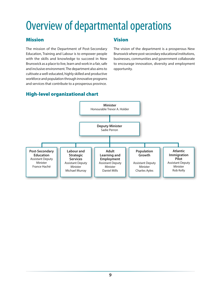# Overview of departmental operations

### Mission

The mission of the Department of Post-Secondary Education, Training and Labour is to empower people with the skills and knowledge to succeed in New Brunswick as a place to live, learn and work in a fair, safe and inclusive environment. The department also aims to cultivate a well-educated, highly skilled and productive workforce and population through innovative programs and services that contribute to a prosperous province.

### Vision

The vision of the department is a prosperous New Brunswick where post-secondary educational institutions, businesses, communities and government collaborate to encourage innovation, diversity and employment opportunity.

# High-level organizational chart

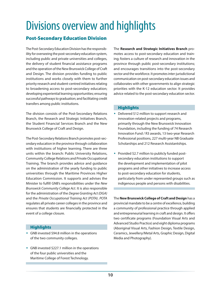# Divisions overview and highlights

# Post-Secondary Education Division

The Post-Secondary Education Division has the responsibility for overseeing the post-secondary education system, including public and private universities and colleges, the delivery of student financial assistance programs and the operation of the New Brunswick College of Craft and Design. The division provides funding to public institutions and works closely with them to further priority research and student-centred initiatives relating to broadening access to post-secondary education; developing experiential learning opportunities; ensuring successful pathways to graduation; and facilitating credit transfers among public institutions.

The division consists of the Post-Secondary Relations Branch, the Research and Strategic Initiatives Branch, the Student Financial Services Branch and the New Brunswick College of Craft and Design.

The Post-Secondary Relations Branch promotes post-secondary education in the province through collaboration with institutions of higher learning. There are three units within the branch: Public University Relations, Community College Relations and Private Occupational Training. The branch provides advice and guidance on the administration of the yearly funding to public universities through the Maritime Provinces Higher Education Commission. It supports and advises the Minister to fulfill GNB's responsibilities under the *New Brunswick Community College Act*. It is also responsible for the administration of the *Degree Granting Act (DGA)* and the *Private Occupational Training Act (POTA)*. *POTA*  regulates all private career colleges in the province and ensures that students are financially protected in the event of a college closure.

#### **Highlights**

- GNB invested \$94.8 million in the operations of the two community colleges.
- GNB invested \$227.1 million in the operations of the four public universities and the Maritime College of Forest Technology.

The **Research and Strategic Initiatives Branch** promotes access to post-secondary education and training; fosters a culture of research and innovation in the province through public post-secondary institutions; and encourages transitions into the post-secondary sector and the workforce. It promotes inter-jurisdictional communication on post-secondary education issues and collaborates with other governments to align strategic priorities with the K-12 education sector. It provides advice related to the post-secondary education sector.

#### **Highlights**

- Delivered \$12 million to support research and innovation-related projects and programs, primarily through the New Brunswick Innovation Foundation, including the funding of 74 Research Innovation Fund / R3 awards, 13 two-year Research Professional positions, 227 multi-year NB Graduate Scholarships and 212 Research Assistantships.
- Provided \$2.7 million to publicly funded postsecondary education institutions to support the development and implementation of pilot programs and other initiatives to increase access to post-secondary education for students, particularly from under represented groups such as indigenous people and persons with disabilities.

The **New Brunswick College of Craft and Design** has a provincial mandate to be a centre of excellence, building a community of professional practice through applied and entrepreneurial learning in craft and design. It offers two certificate programs (Foundation Visual Arts and Advanced Studio Practice) and eight diploma programs (Aboriginal Visual Arts, Fashion Design, Textile Design, Ceramics, Jewellery/Metal Arts, Graphic Design, Digital Media and Photography).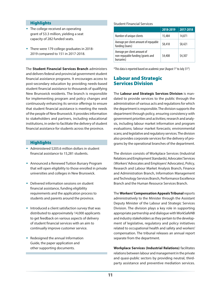#### **Highlights**

- The college received an operating grant of \$3.3 million, yielding a seat capacity of 282 funded seats.
- There were 179 college graduates in 2018- 2019 compared to 151 in 2017-2018.

The **Student Financial Services Branch** administers and delivers federal and provincial government student financial assistance programs. It encourages access to post-secondary education by providing needs-based student financial assistance to thousands of qualifying New Brunswick residents. The branch is responsible for implementing program and policy changes and continuously enhancing its service offerings to ensure that student financial assistance is meeting the needs of the people of New Brunswick. It provides information to stakeholders and partners, including educational institutions, in order to facilitate the delivery of student financial assistance for students across the province.

#### **Highlights**

- Administered \$205.6 million dollars in student financial assistance to 15,281 students.
- Announced a Renewed Tuition Bursary Program that will open eligibility to those enrolled in private universities and colleges in New Brunswick.
- Delivered information sessions on student financial assistance, funding eligibility requirements and the application process to students and parents around the province.
- Introduced a client satisfaction survey that was distributed to approximately 14,000 applicants to get feedback on various aspects of delivery of student financial services with an aim to continually improve customer service.
- Redesigned the annual Information Guide, the paper application and other supporting documents.

#### Student Financial Services

|                                                                                 | 2018-2019 | 2017-2018 |
|---------------------------------------------------------------------------------|-----------|-----------|
| Number of unique clients                                                        | 15,484    | 14,871    |
| Average per client amount of repayable<br>funding (loans)                       | \$8,418   | \$8,421   |
| Average per client amount of<br>non-repayable funding (grants and<br>bursaries) | \$4,408   | \$4,307   |

\*This data is reported based on academic year (August 1st to July 31st)

### Labour and Strategic Services Division

The **Labour and Strategic Services Division** is mandated to provide services to the public through the administration of various acts and regulations for which the department is responsible. The division supports the department through policy, ensuring consistency with government priorities and activities; research and analysis, including labour market information and program evaluations; labour market forecasts; environmental scans; and legislative and regulatory services. The division also provides corporate services for the delivery of programs by the operational branches of the department.

The division consists of Workplace Services (Industrial Relations and Employment Standards), Advocates' Services (Workers' Advocates and Employers' Advocates), Policy, Research and Labour Market Analysis Branch, Finance and Administration Branch, Information Management and Technology Services Branch, Performance Excellence Branch and the Human Resource Services Branch.

The **Workers' Compensation Appeals Tribunal** reports administratively to the Minister through the Assistant Deputy Minister of the Labour and Strategic Services Division. The division plays a key role in supporting appropriate partnership and dialogue with WorkSafeNB and industry stakeholders as they pertain to the development of legislative, regulatory and policy initiatives related to occupational health and safety and workers' compensation. The tribunal releases an annual report separate from the department.

**Workplace Services (Industrial Relations)** facilitates relations between labour and management in the private and quasi-public sectors by providing neutral, thirdparty assistance and preventive mediation services.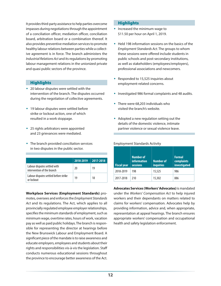It provides third-party assistance to help parties overcome impasses during negotiations through the appointment of a conciliation officer, mediation officer, conciliation board, arbitration board or a combination thereof. It also provides preventive mediation services to promote healthy labour relations between parties while a collective agreement is in force. The branch administers the *Industrial Relations Act* and its regulations by promoting labour management relations in the unionized private and quasi public sectors of the province.

#### **Highlights**

- 20 labour disputes were settled with the intervention of the branch. The disputes occurred during the negotiation of collective agreements.
- 19 labour disputes were settled before strike or lockout action, one of which resulted in a work stoppage.
- ◆ 25 rights arbitrators were appointed and 23 grievances were mediated.
- The branch provided conciliation services in two disputes in the public sector.

|                                                            | 2018-2019 | 2017-2018 |
|------------------------------------------------------------|-----------|-----------|
| Labour disputes settled with<br>intervention of the branch | 20        | 19        |
| Labour disputes settled before strike<br>or lockout        | 19        | 18        |

**Workplace Services (Employment Standards)** promotes, oversees and enforces the *Employment Standards Act* and its regulations. The Act, which applies to all provincially regulated employee employer relationships, specifies the minimum standards of employment, such as minimum wage, overtime rates, hours of work, vacation pay as well as paid public holidays. The branch is responsible for representing the director at hearings before the New Brunswick Labour and Employment Board. A significant piece of the mandate is to raise awareness and educate employers, employees and students about their rights and responsibilities vis-à-vis the legislation. Staff conducts numerous educational sessions throughout the province to encourage better awareness of the Act.

#### **Highlights**

- $\bullet$  Increased the minimum wage to \$11.50 per hour on April 1, 2019.
- Held 198 information sessions on the basics of the *Employment Standards Act*. The groups to whom these sessions were offered include students in public schools and post-secondary institutions, as well as stakeholders (employees/employers), professional associations and newcomers.
- Responded to 15,525 inquiries about employment-related concerns.
- Investigated 986 formal complaints and 48 audits.
- There were 68,203 individuals who visited the branch's website.
- Adopted a new regulation setting out the details of the domestic violence, intimate partner violence or sexual violence leave.

| <b>Fiscal year</b> | <b>Number of</b><br><b>information</b><br><b>sessions</b> | <b>Number of</b><br><b>inquiries</b> | <b>Formal</b><br>complaints<br>investigated |
|--------------------|-----------------------------------------------------------|--------------------------------------|---------------------------------------------|
| 2018-2019          | 198                                                       | 15,525                               | 986                                         |
| 2017-2018          | 210                                                       | 15,302                               | 886                                         |

#### Employment Standards Activity

**Advocates Services (Workers' Advocates)** is mandated under the *Workers' Compensation Act* to help injured workers and their dependants on matters related to claims for workers' compensation. Advocates help by providing information, advice and, when appropriate, representation at appeal hearings. The branch ensures appropriate workers' compensation and occupational health and safety legislation enforcement.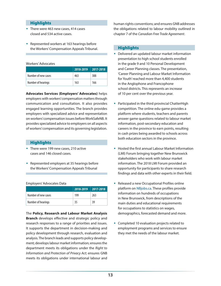#### **Highlights**

- ◆ There were 463 new cases, 414 cases closed and 534 active cases.
- Represented workers at 163 hearings before the Workers' Compensation Appeals Tribunal.

#### Workers' Advocates

|                     | 2018-2019 2017-2018 |     |
|---------------------|---------------------|-----|
| Number of new cases | 463                 | 388 |
| Number of hearings  | 163                 | 166 |

**Advocates Services (Employers' Advocates)** helps employers with workers' compensation matters through communication and consultation. It also provides engaged learning opportunities. The branch provides employers with specialized advice and representation on workers' compensation issues before WorkSafeNB. It provides specialized advice to employers on all aspects of workers' compensation and its governing legislation.

#### **Highlights**

- There were 199 new cases, 210 active cases and 146 closed cases.
- Represented employers at 35 hearings before the Workers' Compensation Appeals Tribunal

#### Employers' Advocates Data

|                     | 2018-2019 2017-2018 |     |
|---------------------|---------------------|-----|
| Number of new cases | 199                 | 263 |
| Number of hearings  | 35                  | 39  |

The **Policy, Research and Labour Market Analysis Branch** develops effective and strategic policy and research responses to a range of priorities and issues. It supports the department in decision-making and policy development through research, evaluation and analysis. The branch leads and supports policy development; develops labour market information; ensures the department meets its obligations under the *Right to Information and Protection of Privacy Act*; ensures GNB meets its obligations under international labour and

human rights conventions; and ensures GNB addresses the obligations related to labour mobility outlined in chapter 7 of the *Canadian Free Trade Agreement*.

#### **Highlights**

- Delivered an updated labour market information presentation to high school students enrolled in the grade 9 and 10 Personal Development and Career Planning classes. The presentation, 'Career Planning and Labour Market Information for Youth' reached more than 4,400 students in the Anglophone and Francophone school districts. This represents an increase of 10 per cent over the previous year.
- Participated in the third provincial ChatterHigh competition. The online edu-game provides a platform where students, teachers and parents answer game questions related to labour market information, post-secondary education and careers in the province to earn points, resulting in cash prizes being awarded to schools across both education sectors in the province.
- Hosted the first annual Labour Market Information (LMI) Forum bringing together New Brunswick stakeholders who work with labour market information. The 2018 LMI Forum provided an opportunity for participants to share research findings and data with other experts in their field.
- Released a new Occupational Profiles online platform on NBjobs.ca. These profiles provide information on hundreds of occupations in New Brunswick, from descriptions of the main duties and educational requirements for occupations to statistics on wages, demographics, forecasted demand and more.
- Completed 10 evaluation projects related to employment programs and services to ensure they met the needs of the labour market.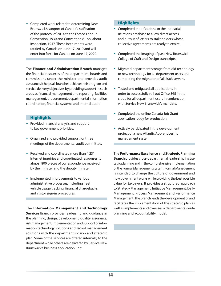Completed work related to determining New Brunswick's support of Canada's ratification of the protocol of 2014 to the Forced Labour Convention, 1930 and Convention 81 on labour inspection, 1947. These instruments were ratified by Canada on June 17, 2019 and will enter into force for Canada on June 17, 2020.

The **Finance and Administration Branch** manages the financial resources of the department, boards and commissions under the minister and provides audit assurance. It helps all branches achieve their program and service delivery objectives by providing support in such areas as financial management and reporting, facilities management, procurement, departmental information coordination, financial systems and internal audit.

#### **Highlights**

- Provided financial analysis and support to key government priorities.
- Organized and provided support for three meetings of the departmental audit committee.
- Received and coordinated more than 4,231 Internet inquiries and coordinated responses to almost 800 pieces of correspondence received by the minister and the deputy minister.
- Implemented improvements to various administrative processes, including fleet vehicle usage tracking, financial chargebacks, and visitor sign-in procedures.

The **Information Management and Technology Services** Branch provides leadership and guidance in the planning, design, development, quality assurance, risk management, implementation and support of information technology solutions and record management solutions with the department's vision and strategic plan. Some of the services are offered internally to the department while others are delivered by Service New Brunswick's business application unit.

#### **Highlights**

- Completed modifications to the Industrial Relations database to allow direct access and output of letters to stakeholders whose collective agreements are ready to expire.
- Completed the imaging of past New Brunswick College of Craft and Design transcripts.
- Migrated department storage from old technology to new technology for all department users and completing the migration of all 2003 servers.
- Tested and mitigated all applications in order to successfully roll out Office 365 in the cloud for all department users in conjunction with Service New Brunswick's mandate.
- Completed the online Canada Job Grant application ready for production.
- Actively participated in the development project of a new Atlantic Apprenticeship management system.

The **Performance Excellence and Strategic Planning Branch** provides cross-departmental leadership in strategic planning and in the comprehensive implementation of the Formal Management system. Formal Management is intended to change the culture of government and how government works while providing the best possible value for taxpayers. It provides a structured approach to Strategy Management, Initiative Management, Daily Management, Process Management and Performance Management. The branch leads the development of and facilitates the implementation of the strategic plan as well as implements and oversees a departmental-wide planning and accountability model.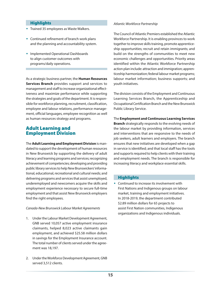#### **Highlights**

- Trained 35 employees as Waste Walkers.
- Continued refinement of branch work plans and the planning and accountability system.
- Implemented Operational Dashboards to align customer outcomes with programs/daily operations.

As a strategic business partner, the **Human Resources Services Branch** provides support and services to management and staff to increase organizational effectiveness and maximize performance while supporting the strategies and goals of the department. It is responsible for workforce planning, recruitment, classification, employee and labour relations, performance management, official languages, employee recognition as well as human resources strategy and programs.

### Adult Learning and Employment Division

The **Adult Learning and Employment Division** is mandated to support the development of human resources in New Brunswick by supporting the delivery of adult literacy and learning programs and services; recognizing achievement of competencies; developing and providing public library services to help New Brunswickers' informational, educational, recreational and cultural needs; and delivering programs and services that assist unemployed, underemployed and newcomers acquire the skills and employment experience necessary to secure full-time employment and that assist New Brunswick employers find the right employees.

#### *Canada-New Brunswick Labour Market Agreements*

- 1. Under the Labour Market Development Agreement, GNB served 10,057 active employment insurance claimants, helped 8,023 active claimants gain employment, and achieved \$25.58 million dollars in savings for the Employment Insurance account. The total number of clients served under the agreement was 18,197.
- 2. Under the Workforce Development Agreement, GNB served 3,512 clients.

#### *Atlantic Workforce Partnership*

The Council of Atlantic Premiers established the Atlantic Workforce Partnership. It is enabling provinces to work together to improve skills training, promote apprenticeship opportunities; recruit and retain immigrants; and build on the strengths of communities to meet new economic challenges and opportunities. Priority areas identified within the Atlantic Workforce Partnership action plan include: attraction and immigration; apprenticeship harmonization; federal labour market programs; labour market information; business supports; and youth initiatives.

The division consists of the Employment and Continuous Learning Services Branch, the Apprenticeship and Occupational Certification Branch and the New Brunswick Public Library Service.

The **Employment and Continuous Learning Services Branch** strategically responds to the evolving needs of the labour market by providing information, services and interventions that are responsive to the needs of job seekers, adult learners and employers. The branch ensures that new initiatives are developed when a gap in service is identified; and that local staff has the tools and supports required to help clients with their training and employment needs. The branch is responsible for increasing literacy and workplace essential skills.

#### **Highlights**

 Continued to increase its involvement with First Nations and Indigenous groups on labour market, training and employment initiatives. In 2018-2019, the department contributed \$2.89 million dollars for 65 projects to assist First Nation communities, Indigenous organizations and Indigenous individuals.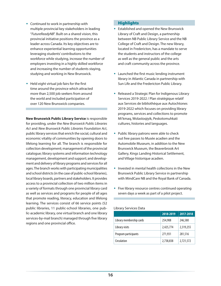- Continued to work in partnership with multiple provincial key stakeholders in leading "*FutureReadyNB*". Built on a shared vision, this provincial initiative positions the province as a leader across Canada. Its key objectives are to enhance experiential learning opportunities leveraging students' contributions to the workforce while studying, increase the number of employers investing in a highly skilled workforce and increasing the number of students staying, studying and working in New Brunswick.
- Held eight virtual job fairs for the first time around the province which attracted more than 2,500 job seekers from around the world and included participation of over 120 New Brunswick companies.

**New Brunswick Public Library Service** is responsible for providing, under the *New Brunswick Public Libraries Act* and *New Brunswick Public Libraries Foundation Act*, public library services that enrich the social, cultural and economic vitality of communities by opening doors to lifelong learning for all. The branch is responsible for collection development; management of the provincial catalogue; library systems and information technology management, development and support; and development and delivery of library programs and services for all ages. The branch works with participating municipalities and school districts (in the case of public-school libraries), local library boards, partners and stakeholders. It provides access to a provincial collection of two million items in a variety of formats through one provincial library card as well as services and programs for people of all ages that promote reading, literacy, education and lifelong learning. The services consist of 66 service points (52 public libraries, 11 public-school libraries, one public-academic library, one virtual branch and one library services-by-mail branch) managed through five library regions and one provincial office.

#### **Highlights**

- Established and opened the New Brunswick Library of Craft and Design, a partnership between NB Public Library Service and the NB College of Craft and Design. The new library, located in Fredericton, has a mandate to serve the students and instructors of the college as well as the general public and the arts and craft community across the province.
- Launched the first music lending instrument library in Atlantic Canada in partnership with Sun Life and the Fredericton Public Library.
- Released a Strategic Plan for Indigenous Library Services 2019-2022 / Plan stratégique relatif aux Services de bibliothèque aux Autochtones 2019-2022 which focuses on providing library programs, services and collections to promote Mi'kmaq, Wolastoqiyik, Peskotomuhkati cultures, histories and languages.
- Public library patrons were able to check out free passes to Musée acadien and the Automobile Museum, in addition to the New Brunswick Museum, the Beaverbrook Art Gallery, Kings Landing Historical Settlement, and Village historique acadien.
- $\bullet$  Invested in mental health collections in the New Brunswick Public Library Service in partnership with MindCare NB and the Royal Bank of Canada.
- Five library resource centres continued operating seven days a week as part of a pilot project.

#### Library Services Data

|                          | 2018-2019 | 2017-2018 |
|--------------------------|-----------|-----------|
| Library membership cards | 254,908   | 246,580   |
| Library visits           | 2,425,774 | 2,319,255 |
| Program participants     | 271,931   | 281,516   |
| Circulation              | 2,738,838 | 2,721,572 |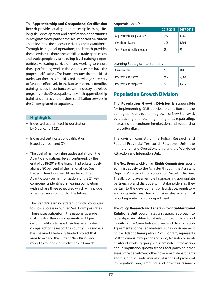The **Apprenticeship and Occupational Certification** 

**Branch** provides quality apprenticeship learning, lifelong skill development and certification opportunities in designated occupations that are standardized, current and relevant to the needs of industry and its workforce. Through its regional operations, the branch provides these services to thousands of skilled trade apprentices and tradespeople by scheduling level training opportunities, validating curriculum and working to ensure those performing work in the various sectors have the proper qualifications. The branch ensures that the skilled trades workforce has the skills and knowledge necessary to function effectively in the labour market. It identifies training needs in conjunction with industry, develops programs in the 50 occupations for which apprenticeship training is offered and provides certification services in the 74 designated occupations.

#### **Highlights**

- **•** Increased apprenticeship registration by 9 per cent (102).
- Increased certificates of qualification issued by 1 per cent (7).
- The goal of harmonizing trades training on the Atlantic and national levels continued. By the end of 2018-2019, the branch had substantively aligned 80 per cent of the national Red Seal trades in four key areas. Phase two of the Atlantic work on harmonization for the 21 key components identified is nearing completion with a phase three scheduled which will include a maintenance solution for the future.
- The branch's learning strategist model continues to show success in our Red Seal Exam pass rates. These rates outperform the national average making New Brunswick apprentices 11 per cent more likely to pass their final exam when compared to the rest of the country. This success has spawned a federally funded project that aims to expand the current New Brunswick model to four other jurisdictions in Canada.

#### Apprenticeship Data

|                              | 2018-2019 | 2017-2018 |
|------------------------------|-----------|-----------|
| Apprenticeship registrations | 1,282     | 1,180     |
| Certificates Issued          | 1,308     | 1,301     |
| Teen Apprenticeship program  | 108       | 73        |

#### Learning Strategist Interventions

| Clients served          | 370   | 409   |
|-------------------------|-------|-------|
| Interventions started   | 1,902 | 2.083 |
| Interventions completed | 1,503 | 1.719 |

# Population Growth Division

The **Population Growth Division** is responsible for implementing GNB policies to contribute to the demographic and economic growth of New Brunswick by attracting and retaining immigrants, repatriating, increasing francophone immigration and supporting multiculturalism.

The division consists of the Policy, Research and Federal-Provincial-Territorial Relations Unit, the Immigration and Operations Unit, and the Workforce Attraction and Integration Unit.

The **New Brunswick Human Rights Commission** reports administratively to the Minister through the Assistant Deputy Minister of the Population Growth Division. The division plays a key role in supporting appropriate partnership and dialogue with stakeholders as they pertain to the development of legislative, regulatory and policy initiatives. The commission releases an annual report separate from the department.

The **Policy, Research and Federal-Provincial-Territorial Relations Unit** coordinates a strategic approach to federal-provincial-territorial relations; administers and monitors the Canada-New Brunswick Immigration Agreement and the Canada-New Brunswick Agreement on the Atlantic Immigration Pilot Program; represents GNB on various immigration and policy federal-provincialterritorial working groups; disseminates information about population growth trends and policy to other areas of the department, other government departments and the public; leads annual evaluations of provincial immigration programming; and provides research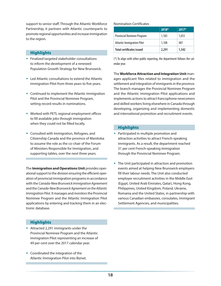support to senior staff. Through the Atlantic Workforce Partnership, it partners with Atlantic counterparts to promote regional opportunities and increase immigration to the region.

#### **Highlights**

- Finalized targeted stakeholder consultations to inform the development of a renewed Population Growth Strategy for New Brunswick.
- $\bullet$  Led Atlantic consultations to extend the Atlantic Immigration Pilot from three years to five years.
- Continued to implement the Atlantic Immigration Pilot and the Provincial Nominee Program, setting record results in nominations.
- Worked with PETL regional employment offices to fill available jobs through immigration when they could not be filled locally.
- Consulted with Immigration, Refugees, and Citizenship Canada and the province of Manitoba to assume the role as the co-chair of the Forum of Ministers Responsible for Immigration, and supporting tables, over the next three years.

The **Immigration and Operations Unit** provides operational support to the division ensuring the efficient operation of provincial immigration programs in accordance with the *Canada-New Brunswick Immigration Agreement* and the *Canada-New Brunswick Agreement on the Atlantic Immigration Pilot*. It manages and monitors the Provincial Nominee Program and the Atlantic Immigration Pilot applications by entering and tracking them in an electronic database.

#### Nomination Certificates

|                                   | $2018*$ | $2017*$ |
|-----------------------------------|---------|---------|
| Provincial Nominee Program        | 1.183   | 1,055   |
| <b>Atlantic Immigration Pilot</b> | 1,108   | 487     |
| <b>Total certificates issued</b>  | 2,291   | 1,542   |

(\*) To align with other public reporting, the department follows the calendar year.

The **Workforce Attraction and Integration Unit** manages applicant files related to immigration and the settlement and integration of immigrants in the province. The branch manages the Provincial Nominee Program and the Atlantic Immigration Pilot applications and implements actions to attract francophone newcomers and skilled workers living elsewhere in Canada through developing, organizing and implementing domestic and international promotion and recruitment events.

#### **Highlights**

- Participated in multiple promotion and attraction activities to attract French-speaking immigrants. As a result, the department reached 31 per cent French-speaking immigration through the Provincial Nominee Program.
- The Unit participated in attraction and promotion events aimed at helping New Brunswick employers fill their labour needs. The Unit also conducted employer recruitment activities in the Middle East (Egypt, United Arab Emirates, Qatar), Hong Kong, Philippines, United Kingdom, Poland, Ukraine, Romania and the United States, in partnership with various Canadian embassies, consulates, Immigrant Settlement Agencies, and municipalities.

#### **Highlights**

- Attracted 2,291 immigrants under the Provincial Nominee Program and the Atlantic Immigration Pilot representing an increase of 49 per cent over the 2017 calendar year.
- Coordinated the integration of the Atlantic Immigration Pilot into Biznet.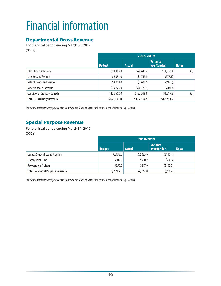# Financial information

# Departmental Gross Revenue

For the fiscal period ending March 31, 2019 (000's)

|                                  | 2018-2019     |               |                                 |              |
|----------------------------------|---------------|---------------|---------------------------------|--------------|
|                                  | <b>Budget</b> | <b>Actual</b> | <b>Variance</b><br>over/(under) | <b>Notes</b> |
| Other Interest Income            | \$11,103.0    | \$22,641.4    | \$11,538.4                      | (1)          |
| <b>Licenses and Permits</b>      | \$2,333.0     | \$1,755.5     | (5577.5)                        |              |
| Sale of Goods and Services       | \$4,208.0     | \$3,608.5     | (5599.5)                        |              |
| Miscellaneous Revenue            | \$19,225.0    | \$20,129.3    | \$904.3                         |              |
| Conditional Grants - Canada      | \$126,502.0   | \$127,519.8   | \$1,017.8                       | (2)          |
| <b>Totals - Ordinary Revenue</b> | \$163,371.0   | \$175,654.5   | \$12,283.5                      |              |

*Explanations for variances greater than \$1 million are found as* Notes to the Statement of Financial Operations.

# Special Purpose Revenue

For the fiscal period ending March 31, 2019 (000's)

|                                         | 2018-2019     |               |                                 |              |
|-----------------------------------------|---------------|---------------|---------------------------------|--------------|
|                                         | <b>Budget</b> | <b>Actual</b> | <b>Variance</b><br>over/(under) | <b>Notes</b> |
| Canada Student Loans Program            | \$2,136.0     | \$2,025.6     | (5110.4)                        |              |
| Library Trust Fund                      | \$300.0       | \$500.2       | \$200.2                         |              |
| Recoverable Projects                    | \$350.0       | \$247.0       | (5103.0)                        |              |
| <b>Totals - Special Purpose Revenue</b> | \$2,786.0     | \$2,772.8     | (513.2)                         |              |

*Explanations for variances greater than \$1 million are found as* Notes to the Statement of Financial Operations.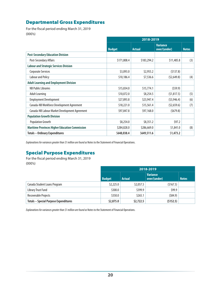# Departmental Gross Expenditures

For the fiscal period ending March 31, 2019 (000's)

|                                                       | 2018-2019     |               |                                 |              |
|-------------------------------------------------------|---------------|---------------|---------------------------------|--------------|
|                                                       | <b>Budget</b> | <b>Actual</b> | <b>Variance</b><br>over/(under) | <b>Notes</b> |
| <b>Post-Secondary Education Division</b>              |               |               |                                 |              |
| Post-Secondary Affairs                                | \$171,808.4   | \$183,294.2   | \$11,485.8                      | (3)          |
| <b>Labour and Strategic Services Division</b>         |               |               |                                 |              |
| Corporate Services                                    | \$3,093.0     | \$2,955.2     | (5137.8)                        |              |
| <b>Labour and Policy</b>                              | \$10,186.4    | \$7,536.6     | (52,649.8)                      | (4)          |
| <b>Adult Learning and Employment Division</b>         |               |               |                                 |              |
| <b>NB Public Libraries</b>                            | \$15,834.0    | \$15,774.1    | (559.9)                         |              |
| <b>Adult Learning</b>                                 | \$10,072.0    | \$8,254.5     | (51, 817.5)                     | (5)          |
| <b>Employment Development</b>                         | \$27,893.8    | \$23,947.4    | (53, 946.4)                     | (6)          |
| Canada-NB Workforce Development Agreement             | \$18,221.0    | \$15,561.4    | (52,659.6)                      | (7)          |
| Canada-NB Labour Market Development Agreement         | \$97,847.8    | \$97,168.0    | (5679.8)                        |              |
| <b>Population Growth Division</b>                     |               |               |                                 |              |
| <b>Population Growth</b>                              | \$8,254.0     | \$8,351.2     | \$97.2                          |              |
| <b>Maritime Provinces Higher Education Commission</b> | \$284,828.0   | \$286,669.0   | \$1,841.0                       | (8)          |
| <b>Totals - Ordinary Expenditures</b>                 | \$648,038.4   | \$649,511.6   | \$1,473.2                       |              |

*Explanations for variances greater than \$1 million are found as* Notes to the Statement of Financial Operations.

# Special Purpose Expenditures

For the fiscal period ending March 31, 2019 (000's)

|                                              | 2018-2019     |               |                                 |              |
|----------------------------------------------|---------------|---------------|---------------------------------|--------------|
|                                              | <b>Budget</b> | <b>Actual</b> | <b>Variance</b><br>over/(under) | <b>Notes</b> |
| Canada Student Loans Program                 | \$2,225.0     | \$2,057.5     | (5167.5)                        |              |
| Library Trust Fund                           | \$300.0       | \$399.9       | \$99.9                          |              |
| Recoverable Projects                         | \$350.0       | \$265.1       | (584.9)                         |              |
| <b>Totals - Special Purpose Expenditures</b> | \$2,875.0     | \$2,722.5     | (5152.5)                        |              |

*Explanations for variances greater than \$1 million are found as* Notes to the Statement of Financial Operations.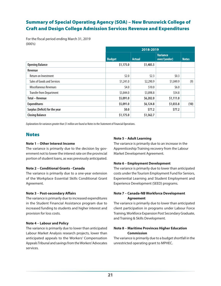# Summary of Special Operating Agency (SOA) – New Brunswick College of Craft and Design College Admission Services Revenue and Expenditures

For the fiscal period ending March 31, 2019 (000's)

|                                 | 2018-2019     |               |                                 |              |
|---------------------------------|---------------|---------------|---------------------------------|--------------|
|                                 | <b>Budget</b> | <b>Actual</b> | <b>Variance</b><br>over/(under) | <b>Notes</b> |
| <b>Opening Balance</b>          | \$1,175.0     | \$1,485.5     |                                 |              |
| Revenue                         |               |               |                                 |              |
| <b>Return on Investment</b>     | \$2.0         | \$2.3\$       | \$0.3\$                         |              |
| Sales of Goods and Services     | \$1,241.0     | \$2,290.9     | \$1,049.9                       | (9)          |
| <b>Miscellaneous Revenues</b>   | \$4.0         | \$10.0        | \$6.0                           |              |
| <b>Transfer from Department</b> | \$3,844.0     | \$3,898.8     | \$54.8                          |              |
| <b>Total - Revenue</b>          | \$5,091.0     | \$6,202.0     | \$1,111.0                       |              |
| <b>Expenditures</b>             | \$5,091.0     | \$6,124.8     | \$1,033.8                       | (10)         |
| Surplus (Deficit) for the year  | \$0.0\$       | \$77.2\$      | \$77.2\$                        |              |
| <b>Closing Balance</b>          | \$1,175.0     | \$1,562.7     |                                 |              |

*Explanations for variances greater than \$1 million are found as* Notes to the Statement of Financial Operations.

### **Notes**

#### **Note 1 – Other Interest Income**

The variance is primarily due to the decision by government not to lower the interest rate on the provincial portion of student loans, as was previously anticipated.

#### **Note 2 – Conditional Grants - Canada**

The variance is primarily due to a one-year extension of the Workplace Essential Skills Conditional Grant Agreement.

#### **Note 3 – Post-secondary Affairs**

The variance is primarily due to increased expenditures in the Student Financial Assistance program due to increased funding to students and higher interest and provision for loss costs.

#### **Note 4 – Labour and Policy**

The variance is primarily due to lower than anticipated Labour Market Analysis research projects, lower than anticipated appeals to the Workers' Compensation Appeals Tribunal and savings from the Workers' Advocates services.

#### **Note 5 – Adult Learning**

The variance is primarily due to an increase in the Apprenticeship Training recovery from the Labour Market Development Agreement.

#### **Note 6 – Employment Development**

The variance is primarily due to lower than anticipated costs under the Tourism Employment Fund for Seniors, Experiential Learning and Student Employment and Experience Development (SEED) programs.

#### **Note 7 – Canada-NB Workforce Development Agreement**

The variance is primarily due to lower than anticipated client participation in programs under Labour Force Training, Workforce Expansion Post Secondary Graduate, and Training & Skills Development.

#### **Note 8 – Maritime Provinces Higher Education Commission**

The variance is primarily due to a budget shortfall in the unrestricted operating grant to MPHEC.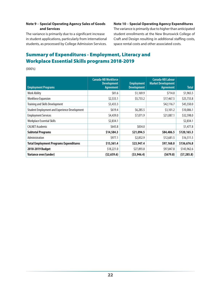#### **Note 9 – Special Operating Agency Sales of Goods and Services**

The variance is primarily due to a significant increase in student applications, particularly from international students, as processed by College Admission Services.

#### **Note 10 – Special Operating Agency Expenditures**

The variance is primarily due to higher than anticipated student enrollments at the New Brunswick College of Craft and Design resulting in additional staffing costs, space rental costs and other associated costs.

# Summary of Expenditures - Employment, Literacy and Workplace Essential Skills programs 2018-2019

(000's)

| <b>Employment Programs</b>                           | <b>Canada-NB Workforce</b><br><b>Development</b><br><b>Agreement</b> | <b>Employment</b><br><b>Development</b> | <b>Canada-NB Labour</b><br><b>Market Development</b><br><b>Agreement</b> | <b>Total</b> |
|------------------------------------------------------|----------------------------------------------------------------------|-----------------------------------------|--------------------------------------------------------------------------|--------------|
| <b>Work Ability</b>                                  | \$81.6                                                               | \$1,169.9                               | \$714.0                                                                  | \$1,965.5    |
| <b>Workforce Expansion</b>                           | \$2,533.1                                                            | \$5,733.2                               | \$17,467.5                                                               | \$25,733.8   |
| <b>Training and Skills Development</b>               | \$3,433.3                                                            |                                         | \$42,116.7                                                               | \$45,550.0   |
| <b>Student Employment and Experience Development</b> | \$619.4                                                              | \$6,285.5                               | \$3,101.2                                                                | \$10,006.1   |
| <b>Employment Services</b>                           | \$4,439.0                                                            | \$7,071.9                               | \$21,087.1                                                               | \$32,598.0   |
| <b>Workplace Essential Skills</b>                    | \$2,834.1                                                            |                                         |                                                                          | \$2,834.1    |
| <b>CALNET Academic</b>                               | \$643.8                                                              | \$834.0                                 |                                                                          | \$1,477.8    |
| <b>Subtotal Programs</b>                             | \$14,584.3                                                           | \$21,094.5                              | \$84,486.5                                                               | \$120,165.3  |
| Administration                                       | \$977.1                                                              | \$2,852.9                               | \$12,681.5                                                               | \$16,511.5   |
| <b>Total Employment Programs Expenditures</b>        | \$15,561.4                                                           | \$23,947.4                              | \$97,168.0                                                               | \$136,676.8  |
| 2018-2019 Budget                                     | \$18,221.0                                                           | \$27,893.8                              | \$97,847.8                                                               | \$143,962.6  |
| Variance over/(under)                                | (52, 659.6)                                                          | (53, 946.4)                             | (5679.8)                                                                 | (57, 285.8)  |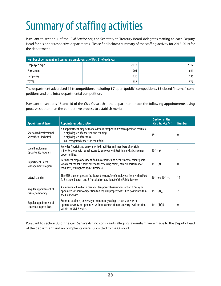# Summary of staffing activities

Pursuant to section 4 of the *Civil Service Act*, the Secretary to Treasury Board delegates staffing to each Deputy Head for his or her respective departments. Please find below a summary of the staffing activity for 2018-2019 for the department.

| Number of permanent and temporary employees as of Dec. 31 of each year |      |      |  |  |
|------------------------------------------------------------------------|------|------|--|--|
| Employee type                                                          | 2018 | 2017 |  |  |
| Permanent                                                              | 701  | 691  |  |  |
| Temporary                                                              | 136  | 186  |  |  |
| <b>TOTAL</b>                                                           | 837  | 877  |  |  |

The department advertised **116** competitions, including **57** open (public) competitions, **58** closed (internal) competitions and one intra-departmental competition.

Pursuant to sections 15 and 16 of the *Civil Service Act*, the department made the following appointments using processes other than the competitive process to establish merit:

| <b>Appointment type</b>                              | <b>Appointment description</b>                                                                                                                                                                        | <b>Section of the</b><br><b>Civil Service Act</b> | <b>Number</b>  |
|------------------------------------------------------|-------------------------------------------------------------------------------------------------------------------------------------------------------------------------------------------------------|---------------------------------------------------|----------------|
| Specialized Professional,<br>Scientific or Technical | An appointment may be made without competition when a position requires:<br>$-$ a high degree of expertise and training<br>- a high degree of technical<br>- skill recognized experts in their field. | 15(1)                                             | $\theta$       |
| Equal Employment<br><b>Opportunity Program</b>       | Provides Aboriginals, persons with disabilities and members of a visible<br>minority group with equal access to employment, training and advancement<br>opportunities.                                | 16(1)(a)                                          |                |
| <b>Department Talent</b><br>Management Program       | Permanent employees identified in corporate and departmental talent pools,<br>who meet the four-point criteria for assessing talent, namely performance,<br>readiness, willingness and criticalness.  | 16(1)(b)                                          | $\theta$       |
| Lateral transfer                                     | The GNB transfer process facilitates the transfer of employees from within Part<br>1, 2 (school boards) and 3 (hospital corporations) of the Public Service.                                          | 16(1) ou $16(1)(c)$                               | 14             |
| Regular appointment of<br>casual/temporary           | An individual hired on a casual or temporary basis under section 17 may be<br>appointed without competition to a regular properly classified position within<br>the Civil Service.                    | 16(1)(d)(i)                                       | $\overline{2}$ |
| Regular appointment of<br>students/apprentices       | Summer students, university or community college co-op students or<br>apprentices may be appointed without competition to an entry level position<br>within the Civil Service.                        | 16(1)(d)(ii)                                      | $\theta$       |

Pursuant to section 33 of the *Civil Service Act*, no complaints alleging favouritism were made to the Deputy Head of the department and no complaints were submitted to the Ombud.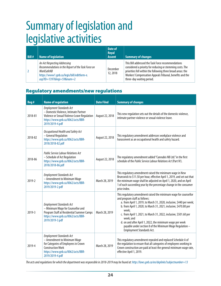# Summary of legislation and legislative activities

| Bill# | <b>Name of legislation</b>                                                                                                                                                      | Date of<br><b>Royal</b><br><b>Assent</b> | <b>Summary of changes</b>                                                                                                                                                                                                                                               |
|-------|---------------------------------------------------------------------------------------------------------------------------------------------------------------------------------|------------------------------------------|-------------------------------------------------------------------------------------------------------------------------------------------------------------------------------------------------------------------------------------------------------------------------|
|       | An Act Respecting Addressing<br>Recommendations in the Report of the Task Force on<br><b>WorkSafeNB</b><br>https://www1.gnb.ca/legis/bill/editform-e.<br>asp?ID=1397&legi=59#=2 | December<br>12, 2018                     | This Bill addressed the Task Force recommendations<br>considered a priority for reducing or stemming costs. The<br>priorities fell within the following three broad areas: the<br>Workers' Compensation Appeals Tribunal, benefits and the<br>three-day waiting period. |

# Regulatory amendments/new regulations

| Reg #   | <b>Name of regulation</b>                                                                                                                                                                  | <b>Date Filed</b> | <b>Summary of changes</b>                                                                                                                                                                                                                                                                                                                                                                                                                                                                      |
|---------|--------------------------------------------------------------------------------------------------------------------------------------------------------------------------------------------|-------------------|------------------------------------------------------------------------------------------------------------------------------------------------------------------------------------------------------------------------------------------------------------------------------------------------------------------------------------------------------------------------------------------------------------------------------------------------------------------------------------------------|
| 2018-81 | <b>Employment Standards Act</b><br>- Domestic Violence, Intimate Partner<br>Violence or Sexual Violence Leave Regulation<br>https://www.gnb.ca/0062/acts/BBR-<br>2019/2019-4.pdf           | August 22, 2018   | This new regulation sets out the details of the domestic violence,<br>intimate partner violence or sexual violence leave.                                                                                                                                                                                                                                                                                                                                                                      |
| 2018-82 | Occupational Health and Safety Act<br>- General Regulation<br>https://www.gnb.ca/0062/acts/BBR-<br>2018/2018-82.pdf                                                                        | August 22, 2018   | This regulatory amendment addresses workplace violence and<br>harassment as an occupational health and safety hazard.                                                                                                                                                                                                                                                                                                                                                                          |
| 2018-86 | <b>Public Service Labour Relations Act</b><br>- Schedule of Act Regulation<br>https://www.gnb.ca/0062/acts/BBR-<br>2018/2018-86.pdf                                                        | August 22, 2018   | The regulatory amendment added "Cannabis NB Ltd." in the first<br>schedule of the Public Service Labour Relations Act (Part IV).                                                                                                                                                                                                                                                                                                                                                               |
| 2019-2  | <b>Employment Standards Act</b><br>- Amendment to Minimum Wage<br>https://www.gnb.ca/0062/acts/BBR-<br>2019/2019-2.pdf                                                                     | March 28, 2019    | This regulatory amendment raised the minimum wage in New<br>Brunswick to \$11.50 per hour, effective April 1, 2019, and set out that<br>the minimum wage shall be adjusted on April 1, 2020, and on April<br>1 of each succeeding year by the percentage change in the consumer<br>price index.                                                                                                                                                                                                |
| 2019-3  | <b>Employment Standards Act</b><br>- Minimum Wage for Counsellor and<br>Program Staff at Residential Summer Camps<br>https://www.gnb.ca/0062/acts/BBR-<br>2019/2019-3.pdf                  | March 28, 2019    | This regulatory amendment raised the minimum wage for counsellor<br>and program staff as follows:<br>a. from April 1, 2019, to March 31, 2020, inclusive, \$440 per week;<br>b. from April 1, 2020, to March 31, 2021, inclusive, \$470.80 per<br>week;<br>c. from April 1, 2021, to March 31, 2022, inclusive, \$501.60 per<br>week; and<br>d. on and after April 1, 2022, the minimum wage per week<br>payable under section 8 of the Minimum Wage Regulation -<br>Employment Standards Act. |
| 2019-4  | <b>Employment Standards Act</b><br>- Amendment to Minimum Wage<br>for Categories of Employees in Crown<br><b>Construction Work</b><br>https://www.gnb.ca/0062/acts/BBR-<br>2019/2019-4.pdf | March 28, 2019    | This regulatory amendment repealed and replaced Schedule A of<br>the regulation to ensure that all categories of employees working in<br>Crown construction are paid at least the general minimum wage rate,<br>effective April 1, 2019.                                                                                                                                                                                                                                                       |

*The acts and regulations for which the department was responsible in 2018-2019 may be found at: http://laws.gnb.ca/en/deplinks?subjectnumber=13*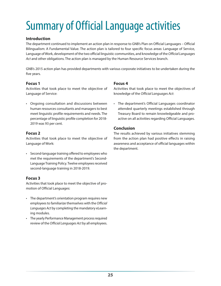# Summary of Official Language activities

#### **Introduction**

The department continued to implement an action plan in response to GNB's Plan on Official Languages – Official Bilingualism: A Fundamental Value. The action plan is tailored to four specific focus areas: Language of Service, Language of Work, development of the two official linguistic communities, and knowledge of the *Official Languages Act* and other obligations. The action plan is managed by the Human Resource Services branch.

GNB's 2015 action plan has provided departments with various corporate initiatives to be undertaken during the five years.

#### **Focus 1**

Activities that took place to meet the objective of Language of Service:

• Ongoing consultation and discussions between human resources consultants and managers to best meet linguistic profile requirements and needs. The percentage of linguistic profile completion for 2018- 2019 was 93 per cent.

#### **Focus 2**

Activities that took place to meet the objective of Language of Work:

• Second-language training offered to employees who met the requirements of the department's Second-Language Training Policy. Twelve employees received second-language training in 2018-2019.

### **Focus 3**

Activities that took place to meet the objective of promotion of Official Languages:

- The department's orientation program requires new employees to familiarize themselves with the *Official Languages Act* by completing the mandatory eLearning modules.
- The yearly Performance Management process required review of the *Official Languages Act* by all employees.

#### **Focus 4**

Activities that took place to meet the objectives of knowledge of the *Official Languages Act*:

• The department's Official Languages coordinator attended quarterly meetings established through Treasury Board to remain knowledgeable and proactive on all activities regarding Official Languages.

#### **Conclusion**

The results achieved by various initiatives stemming from the action plan had positive effects in raising awareness and acceptance of official languages within the department.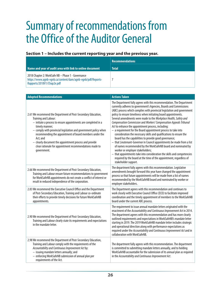# Summary of recommendations from the Office of the Auditor General

#### **Section 1 – Includes the current reporting year and the previous year.**

|                                                                                                                                                 | <b>Recommendations</b> |
|-------------------------------------------------------------------------------------------------------------------------------------------------|------------------------|
| Name and year of audit area with link to online document                                                                                        | <b>Total</b>           |
| 2018 Chapter 2: WorkSafe NB - Phase 1 - Governance<br>https://www.aqnb-vqnb.ca/content/dam/aqnb-vqnb/pdf/Reports-<br>Rapports/2018V1/Chap2e.pdf |                        |

| <b>Adopted Recommendations</b>                                                                                                                                                                                                                                                                                                                                                                                                                          | <b>Actions Taken</b>                                                                                                                                                                                                                                                                                                                                                                                                                                                                                                                                                                                                                                                                                                                                                                                                                                                                                                                                                                                                                                 |
|---------------------------------------------------------------------------------------------------------------------------------------------------------------------------------------------------------------------------------------------------------------------------------------------------------------------------------------------------------------------------------------------------------------------------------------------------------|------------------------------------------------------------------------------------------------------------------------------------------------------------------------------------------------------------------------------------------------------------------------------------------------------------------------------------------------------------------------------------------------------------------------------------------------------------------------------------------------------------------------------------------------------------------------------------------------------------------------------------------------------------------------------------------------------------------------------------------------------------------------------------------------------------------------------------------------------------------------------------------------------------------------------------------------------------------------------------------------------------------------------------------------------|
| 2.61 We recommend the Department of Post-Secondary Education,<br>Training and Labour:<br>- initiate a process to ensure appointments are completed in a<br>timely manner;<br>- comply with provincial legislation and government policy when<br>recommending the appointment of board members under the<br>Act: and<br>- clearly document the appointment process and provide<br>clear rationale for appointment recommendations made to<br>government. | The Department fully agrees with this recommendation. The Department<br>currently adheres to government's Agencies, Boards and Commissions<br>(ABC) process which complies with provincial legislation and government<br>policy to ensure timeliness when initiating board appointments.<br>Several amendments were made to the Workplace Health, Safety and<br>Compensation Commission and Workers' Compensation Appeals Tribunal<br>Act to enhance the appointment process, including:<br>- a requirement for the Board appointment process to take into<br>consideration the necessary skills and qualifications to ensure the<br>board has the capabilities to provide good governance;<br>- that Lieutenant-Governor in Council appointments be made from a list<br>of names recommended by the WorkSafeNB board and nominated by<br>worker or employer stakeholders;<br>- that appointments take into consideration the skills and competencies<br>required by the board at the time of the appointment, regardless of<br>stakeholder support. |
| 2.66 We recommend the Department of Post-Secondary Education,<br>Training and Labour ensure future recommendations to government<br>for WorkSafeNB appointments do not create a conflict of interest or<br>result in reduced independence of the corporation.                                                                                                                                                                                           | The department fully agrees with this recommendation. Legislative<br>amendments brought forward this year have changed the appointment<br>process so that future appointments will be made from a list of names<br>recommended by the WorkSafeNB board and nominated by worker or<br>employer stakeholders.                                                                                                                                                                                                                                                                                                                                                                                                                                                                                                                                                                                                                                                                                                                                          |
| 2.83 We recommend the Executive Council Office and the Department<br>of Post-Secondary Education, Training and Labour co-ordinate<br>their efforts to provide timely decisions for future WorkSafeNB<br>appointments.                                                                                                                                                                                                                                   | The Department agrees with this recommendation and continues to<br>work closely with Executive Council Office (ECO) to facilitate improved<br>coordination and the timely appointment of members to the WorkSafeNB<br>board under the current ABC process.                                                                                                                                                                                                                                                                                                                                                                                                                                                                                                                                                                                                                                                                                                                                                                                           |
| 2.90 We recommend the Department of Post-Secondary Education,<br>Training and Labour clearly state its requirements and expectations<br>in the mandate letter.                                                                                                                                                                                                                                                                                          | The requirement to issue annual mandate letters originated with the<br>enactment of the Accountability and Continuous Improvement Act in 2014.<br>The department agrees with this recommendation and has more clearly<br>outlined requirements and expectations in WorkSafeNB's mandate letter<br>starting in 2019. The 2019 WorkSafeNB mandate letter includes strategic<br>and operational direction along with performance expectations as<br>required under the Accountability and Continuous Improvement Act and in<br>collaboration with WorkSafeNB.                                                                                                                                                                                                                                                                                                                                                                                                                                                                                           |
| 2.98 We recommend the Department of Post-Secondary Education,<br>Training and Labour comply with the requirements of the<br>Accountability and Continuous Improvement Act by:<br>- issuing mandate letters annually; and<br>- enforcing WorkSafeNB submission of annual plan per<br>requirements of the Act.                                                                                                                                            | The department fully agrees with this recommendation. The department<br>is committed to submitting mandate letters annually, and to holding<br>WorkSafeNB accountable for the submission of its annual plan as required<br>in the Accountability and Continuous Improvement Act.                                                                                                                                                                                                                                                                                                                                                                                                                                                                                                                                                                                                                                                                                                                                                                     |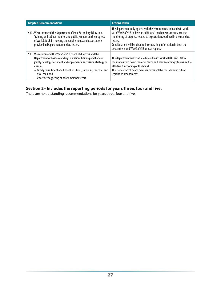| <b>Adopted Recommendations</b>                                                                                                                                                                                                                                                                                                                         | <b>Actions Taken</b>                                                                                                                                                                                                                                                                                                                             |
|--------------------------------------------------------------------------------------------------------------------------------------------------------------------------------------------------------------------------------------------------------------------------------------------------------------------------------------------------------|--------------------------------------------------------------------------------------------------------------------------------------------------------------------------------------------------------------------------------------------------------------------------------------------------------------------------------------------------|
| 2.103 We recommend the Department of Post-Secondary Education,<br>Training and Labour monitor and publicly report on the progress<br>of WorkSafeNB in meeting the requirements and expectations<br>provided in Department mandate letters.                                                                                                             | The department fully agrees with this recommendation and will work<br>with WorkSafeNB to develop additional mechanisms to enhance the<br>monitoring of progress related to expectations outlined in the mandate<br>letters.<br>Consideration will be given to incorporating information in both the<br>department and WorkSafeNB annual reports. |
| 2.131 We recommend the WorkSafeNB board of directors and the<br>Department of Post-Secondary Education, Training and Labour<br>jointly develop, document and implement a succession strategy to<br>ensure:<br>- timely recruitment of all board positions, including the chair and<br>vice-chair and,<br>- effective staggering of board member terms. | The department will continue to work with WorkSafeNB and ECO to<br>monitor current board member terms and plan accordingly to ensure the<br>effective functioning of the board.<br>The staggering of board member terms will be considered in future<br>legislative amendments.                                                                  |

# **Section 2– Includes the reporting periods for years three, four and five.**

There are no outstanding recommendations for years three, four and five.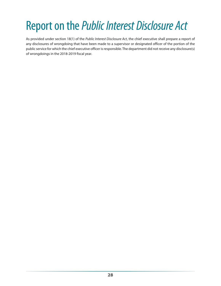# Report on the *Public Interest Disclosure Act*

As provided under section 18(1) of the *Public Interest Disclosure Act*, the chief executive shall prepare a report of any disclosures of wrongdoing that have been made to a supervisor or designated officer of the portion of the public service for which the chief executive officer is responsible. The department did not receive any disclosure(s) of wrongdoings in the 2018-2019 fiscal year.